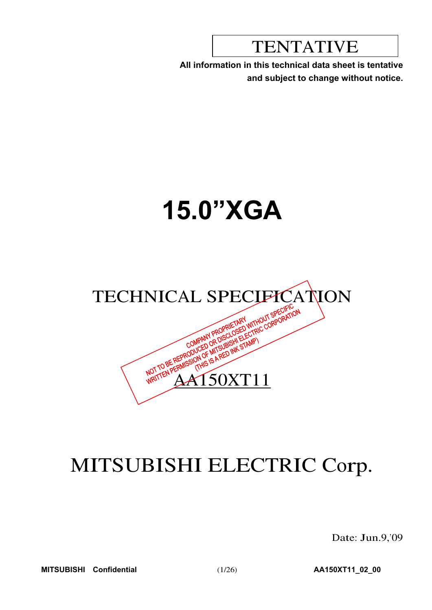TENTATIVE

**All information in this technical data sheet is tentative and subject to change without notice.**

# **15.0"XGA**



# MITSUBISHI ELECTRIC Corp.

Date: Jun.9,'09

**MITSUBISHI Confidential** (1/26) **AA150XT11\_02\_00**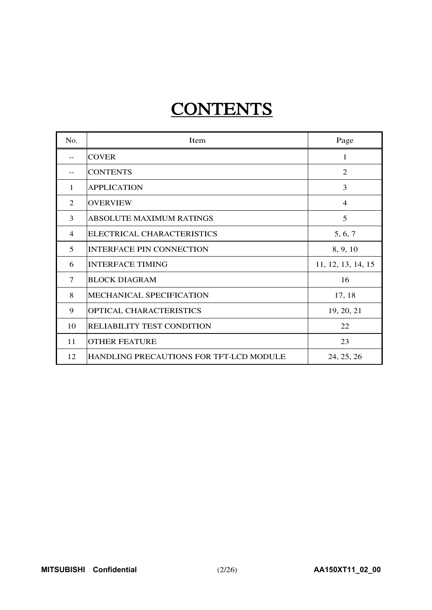# **CONTENTS**

| No.            | Item                                    | Page               |
|----------------|-----------------------------------------|--------------------|
| $-$            | <b>COVER</b>                            | 1                  |
|                | <b>CONTENTS</b>                         | 2                  |
| 1              | <b>APPLICATION</b>                      | 3                  |
| $\mathfrak{D}$ | <b>OVERVIEW</b>                         | $\overline{4}$     |
| 3              | <b>ABSOLUTE MAXIMUM RATINGS</b>         | 5                  |
| $\overline{4}$ | ELECTRICAL CHARACTERISTICS              | 5, 6, 7            |
| 5              | <b>INTERFACE PIN CONNECTION</b>         | 8, 9, 10           |
| 6              | <b>INTERFACE TIMING</b>                 | 11, 12, 13, 14, 15 |
| $\tau$         | <b>BLOCK DIAGRAM</b>                    | 16                 |
| 8              | <b>MECHANICAL SPECIFICATION</b>         | 17, 18             |
| 9              | <b>OPTICAL CHARACTERISTICS</b>          | 19, 20, 21         |
| 10             | RELIABILITY TEST CONDITION              | 22                 |
| 11             | <b>OTHER FEATURE</b>                    | 23                 |
| 12             | HANDLING PRECAUTIONS FOR TFT-LCD MODULE | 24, 25, 26         |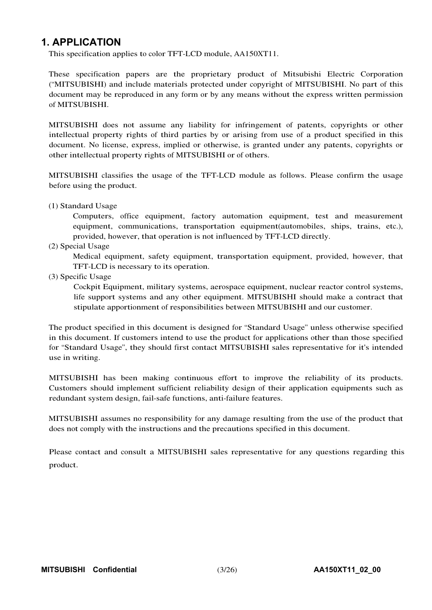## **1. APPLICATION**

This specification applies to color TFT-LCD module, AA150XT11.

These specification papers are the proprietary product of Mitsubishi Electric Corporation ("MITSUBISHI) and include materials protected under copyright of MITSUBISHI. No part of this document may be reproduced in any form or by any means without the express written permission of MITSUBISHI.

MITSUBISHI does not assume any liability for infringement of patents, copyrights or other intellectual property rights of third parties by or arising from use of a product specified in this document. No license, express, implied or otherwise, is granted under any patents, copyrights or other intellectual property rights of MITSUBISHI or of others.

MITSUBISHI classifies the usage of the TFT-LCD module as follows. Please confirm the usage before using the product.

(1) Standard Usage

Computers, office equipment, factory automation equipment, test and measurement equipment, communications, transportation equipment(automobiles, ships, trains, etc.), provided, however, that operation is not influenced by TFT-LCD directly.

(2) Special Usage

Medical equipment, safety equipment, transportation equipment, provided, however, that TFT-LCD is necessary to its operation.

(3) Specific Usage

Cockpit Equipment, military systems, aerospace equipment, nuclear reactor control systems, life support systems and any other equipment. MITSUBISHI should make a contract that stipulate apportionment of responsibilities between MITSUBISHI and our customer.

The product specified in this document is designed for "Standard Usage" unless otherwise specified in this document. If customers intend to use the product for applications other than those specified for "Standard Usage", they should first contact MITSUBISHI sales representative for it's intended use in writing.

MITSUBISHI has been making continuous effort to improve the reliability of its products. Customers should implement sufficient reliability design of their application equipments such as redundant system design, fail-safe functions, anti-failure features.

MITSUBISHI assumes no responsibility for any damage resulting from the use of the product that does not comply with the instructions and the precautions specified in this document.

Please contact and consult a MITSUBISHI sales representative for any questions regarding this product.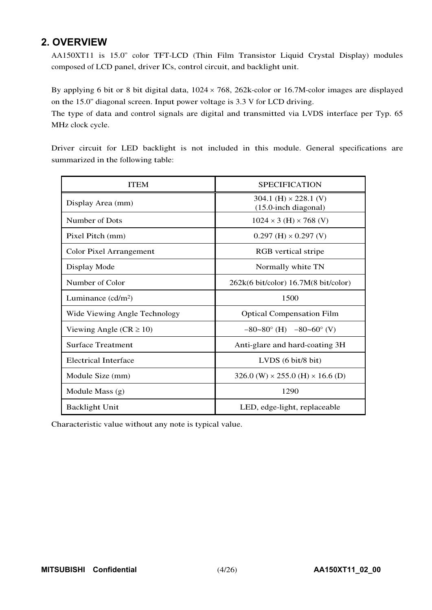## **2. OVERVIEW**

AA150XT11 is 15.0" color TFT-LCD (Thin Film Transistor Liquid Crystal Display) modules composed of LCD panel, driver ICs, control circuit, and backlight unit.

By applying 6 bit or 8 bit digital data,  $1024 \times 768$ ,  $262$ k-color or 16.7M-color images are displayed on the 15.0" diagonal screen. Input power voltage is 3.3 V for LCD driving.

The type of data and control signals are digital and transmitted via LVDS interface per Typ. 65 MHz clock cycle.

Driver circuit for LED backlight is not included in this module. General specifications are summarized in the following table:

| <b>ITEM</b>                    | <b>SPECIFICATION</b>                                      |
|--------------------------------|-----------------------------------------------------------|
| Display Area (mm)              | 304.1 (H) $\times$ 228.1 (V)<br>$(15.0$ -inch diagonal)   |
| Number of Dots                 | $1024 \times 3$ (H) $\times 768$ (V)                      |
| Pixel Pitch (mm)               | $0.297$ (H) $\times$ 0.297 (V)                            |
| <b>Color Pixel Arrangement</b> | RGB vertical stripe                                       |
| Display Mode                   | Normally white TN                                         |
| Number of Color                | $262k(6 \text{ bit/color})$ 16.7M $(8 \text{ bit/color})$ |
| Luminance $(cd/m2)$            | 1500                                                      |
| Wide Viewing Angle Technology  | <b>Optical Compensation Film</b>                          |
| Viewing Angle ( $CR \ge 10$ )  | $-80-80^{\circ}$ (H) $-80-60^{\circ}$ (V)                 |
| <b>Surface Treatment</b>       | Anti-glare and hard-coating 3H                            |
| <b>Electrical Interface</b>    | LVDS $(6 \text{ bit}/8 \text{ bit})$                      |
| Module Size (mm)               | 326.0 (W) $\times$ 255.0 (H) $\times$ 16.6 (D)            |
| Module Mass (g)                | 1290                                                      |
| <b>Backlight Unit</b>          | LED, edge-light, replaceable                              |

Characteristic value without any note is typical value.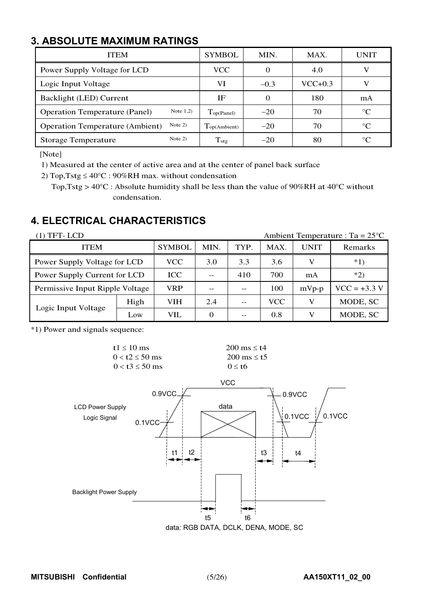# **3. ABSOLUTE MAXIMUM RATINGS**

| <b>ITEM</b>                                         | <b>SYMBOL</b>                 | MIN.     | MAX.      | UNIT        |
|-----------------------------------------------------|-------------------------------|----------|-----------|-------------|
| Power Supply Voltage for LCD                        | <b>VCC</b>                    | $\theta$ | 4.0       |             |
| Logic Input Voltage                                 | VI                            | $-0.3$   | $VCC+0.3$ |             |
| Backlight (LED) Current                             | IF                            | 0        | 180       | mA          |
| Note $1,2)$<br><b>Operation Temperature (Panel)</b> | $\Gamma_{\text{op(Panel)}}$   | $-20$    | 70        | $^{\circ}C$ |
| Note $2)$<br><b>Operation Temperature (Ambient)</b> | $\Gamma_{\text{op(Ambient)}}$ | $-20$    | 70        | $^{\circ}C$ |
| Note $2)$<br><b>Storage Temperature</b>             | $T_{\text{stg}}$              | $-20$    | 80        | $^{\circ}C$ |

[Note]

1) Measured at the center of active area and at the center of panel back surface

2) Top, Tstg  $\leq 40^{\circ}\text{C}$  : 90%RH max. without condensation

Top, Tstg >  $40^{\circ}$ C : Absolute humidity shall be less than the value of 90%RH at 40 $^{\circ}$ C without condensation.

# **4. ELECTRICAL CHARACTERISTICS**

| $(1)$ TFT-LCD                   |      |               |      |      |            |             | Ambient Temperature : Ta = $25^{\circ}$ C |
|---------------------------------|------|---------------|------|------|------------|-------------|-------------------------------------------|
| <b>ITEM</b>                     |      | <b>SYMBOL</b> | MIN. | TYP. | MAX.       | <b>UNIT</b> | Remarks                                   |
| Power Supply Voltage for LCD    |      | VCC           | 3.0  | 3.3  | 3.6        | V           | $*1)$                                     |
| Power Supply Current for LCD    |      | <b>ICC</b>    |      | 410  | 700        | mA          | $*2)$                                     |
| Permissive Input Ripple Voltage |      | VRP           |      | $-$  | 100        | $mVp-p$     | $VCC = +3.3 V$                            |
|                                 | High | VIH           | 2.4  | $ -$ | <b>VCC</b> | V           | MODE, SC                                  |
| Logic Input Voltage             | Low  | VIL           |      | $ -$ | 0.8        |             | MODE, SC                                  |

\*1) Power and signals sequence:

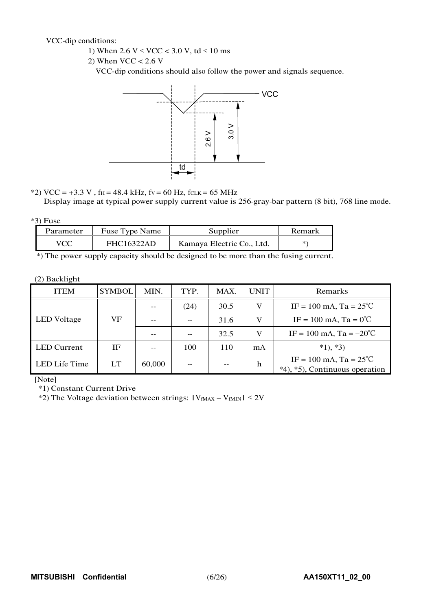VCC-dip conditions:

- 1) When  $2.6 \text{ V} \leq \text{VCC} < 3.0 \text{ V}$ , td  $\leq 10 \text{ ms}$
- 2) When  $VCC < 2.6$  V

VCC-dip conditions should also follow the power and signals sequence.



 $*2)$  VCC = +3.3 V, f<sub>H</sub> = 48.4 kHz, f<sub>V</sub> = 60 Hz, f<sub>CLK</sub> = 65 MHz

Display image at typical power supply current value is 256-gray-bar pattern (8 bit), 768 line mode.

#### \*3) Fuse

| Parameter | Fuse Type Name    | Supplier                  | Remark |
|-----------|-------------------|---------------------------|--------|
|           | <b>FHC16322AD</b> | Kamaya Electric Co., Ltd. | *`     |

\*) The power supply capacity should be designed to be more than the fusing current.

#### (2) Backlight

| <b>ITEM</b>        | <b>SYMBOL</b> | MIN.   | TYP. | MAX. | <b>UNIT</b> | Remarks                                                            |
|--------------------|---------------|--------|------|------|-------------|--------------------------------------------------------------------|
|                    |               |        | (24) | 30.5 | V           | IF = 100 mA, Ta = $25^{\circ}$ C                                   |
| <b>LED</b> Voltage | VF            |        |      | 31.6 | V           | $IF = 100 \text{ mA}$ , $Ta = 0^{\circ}C$                          |
|                    |               |        |      | 32.5 | V           | IF = 100 mA, Ta = $-20^{\circ}$ C                                  |
| <b>LED</b> Current | ΙF            |        | 100  | 110  | mA          | $*1, *3)$                                                          |
| LED Life Time      | <b>LT</b>     | 60,000 |      | $ -$ | h           | IF = 100 mA, Ta = $25^{\circ}$ C<br>*4), *5), Continuous operation |

[Note]

\*1) Constant Current Drive

\*2) The Voltage deviation between strings:  $|V_{fMAX} - V_{fMIN}| \le 2V$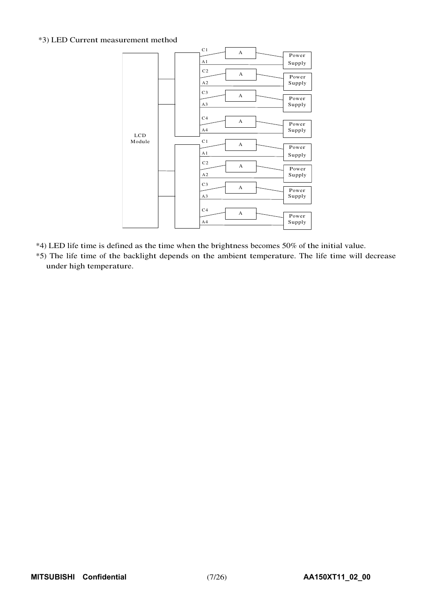### \*3) LED Current measurement method



\*4) LED life time is defined as the time when the brightness becomes 50% of the initial value.

\*5) The life time of the backlight depends on the ambient temperature. The life time will decrease under high temperature.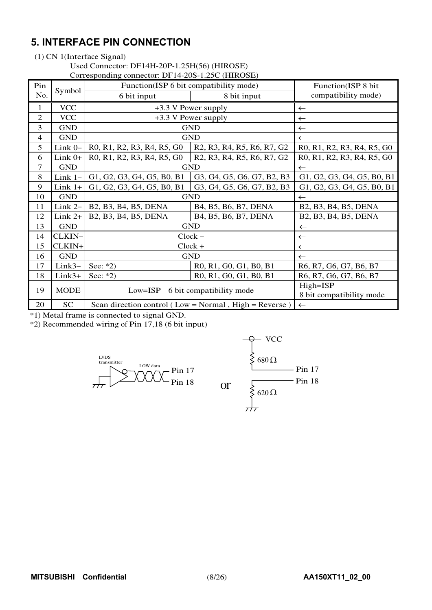# **5. INTERFACE PIN CONNECTION**

#### (1) CN 1(Interface Signal)

#### Used Connector: DF14H-20P-1.25H(56) (HIROSE)

Corresponding connector: DF14-20S-1.25C (HIROSE)

| Pin            | Symbol      |                                                                                                                      | Function(ISP 6 bit compatibility mode)                                                                               | Function(ISP 8 bit                   |
|----------------|-------------|----------------------------------------------------------------------------------------------------------------------|----------------------------------------------------------------------------------------------------------------------|--------------------------------------|
| No.            |             | 6 bit input                                                                                                          | 8 bit input                                                                                                          | compatibility mode)                  |
| $\mathbf{1}$   | <b>VCC</b>  |                                                                                                                      | +3.3 V Power supply                                                                                                  | $\leftarrow$                         |
| $\mathfrak{2}$ | <b>VCC</b>  |                                                                                                                      | +3.3 V Power supply                                                                                                  | $\leftarrow$                         |
| 3              | <b>GND</b>  |                                                                                                                      | <b>GND</b>                                                                                                           | $\leftarrow$                         |
| $\overline{4}$ | <b>GND</b>  |                                                                                                                      | <b>GND</b>                                                                                                           | $\leftarrow$                         |
| 5              | Link 0-     | R0, R1, R2, R3, R4, R5, G0                                                                                           | R <sub>2</sub> , R <sub>3</sub> , R <sub>4</sub> , R <sub>5</sub> , R <sub>6</sub> , R <sub>7</sub> , G <sub>2</sub> | R0, R1, R2, R3, R4, R5, G0           |
| 6              | Link $0+$   | R <sub>0</sub> , R <sub>1</sub> , R <sub>2</sub> , R <sub>3</sub> , R <sub>4</sub> , R <sub>5</sub> , G <sub>0</sub> | R <sub>2</sub> , R <sub>3</sub> , R <sub>4</sub> , R <sub>5</sub> , R <sub>6</sub> , R <sub>7</sub> , G <sub>2</sub> | R0, R1, R2, R3, R4, R5, G0           |
| 7              | <b>GND</b>  |                                                                                                                      | <b>GND</b>                                                                                                           | $\leftarrow$                         |
| 8              | Link $1-$   | G1, G2, G3, G4, G5, B0, B1                                                                                           | G3, G4, G5, G6, G7, B2, B3                                                                                           | G1, G2, G3, G4, G5, B0, B1           |
| 9              | $Link 1+$   | G1, G2, G3, G4, G5, B0, B1                                                                                           | G3, G4, G5, G6, G7, B2, B3                                                                                           | G1, G2, G3, G4, G5, B0, B1           |
| 10             | <b>GND</b>  |                                                                                                                      | <b>GND</b>                                                                                                           | $\leftarrow$                         |
| 11             | Link $2-$   | B2, B3, B4, B5, DENA                                                                                                 | B4, B5, B6, B7, DENA                                                                                                 | B2, B3, B4, B5, DENA                 |
| 12             | $Link 2+$   | B2, B3, B4, B5, DENA                                                                                                 | B4, B5, B6, B7, DENA                                                                                                 | B2, B3, B4, B5, DENA                 |
| 13             | <b>GND</b>  |                                                                                                                      | <b>GND</b>                                                                                                           | $\leftarrow$                         |
| 14             | CLKIN-      |                                                                                                                      | $Clock -$                                                                                                            | $\leftarrow$                         |
| 15             | CLKIN+      |                                                                                                                      | $Clock +$                                                                                                            | $\leftarrow$                         |
| 16             | <b>GND</b>  |                                                                                                                      | <b>GND</b>                                                                                                           | $\leftarrow$                         |
| 17             | $Link3-$    | See: $*2)$                                                                                                           | R0, R1, G0, G1, B0, B1                                                                                               | R6, R7, G6, G7, B6, B7               |
| 18             | $Link3+$    | See: $*2)$                                                                                                           | R0, R1, G0, G1, B0, B1                                                                                               | R6, R7, G6, G7, B6, B7               |
| 19             | <b>MODE</b> | $Low = ISP$                                                                                                          | 6 bit compatibility mode                                                                                             | High=ISP<br>8 bit compatibility mode |
| 20             | <b>SC</b>   |                                                                                                                      | Scan direction control ( $Low = Normal$ , $High = Reverse$ )                                                         | $\leftarrow$                         |

\*1) Metal frame is connected to signal GND.

\*2) Recommended wiring of Pin 17,18 (6 bit input)



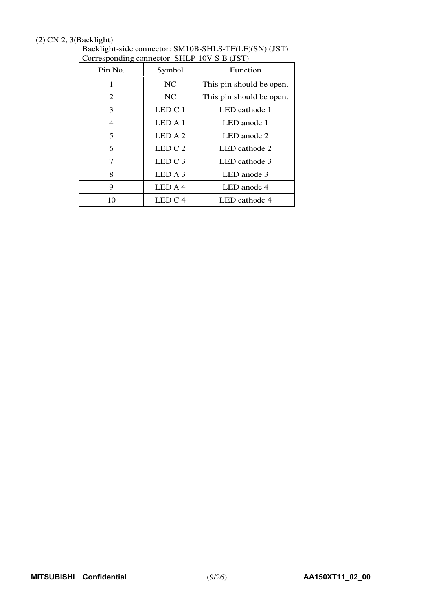## (2) CN 2, 3(Backlight)

| Pin No. | Symbol             | Function                 |
|---------|--------------------|--------------------------|
| 1       | NC                 | This pin should be open. |
| 2       | <b>NC</b>          | This pin should be open. |
| 3       | LED C <sub>1</sub> | LED cathode 1            |
| 4       | LEDA1              | LED anode 1              |
| 5       | LED A 2            | LED anode 2              |
| 6       | LEDC2              | LED cathode 2            |
| 7       | LED C 3            | LED cathode 3            |
| 8       | LED A 3            | LED anode 3              |
| 9       | LED A 4            | LED anode 4              |
| 10      | LEDC4              | LED cathode 4            |

Backlight-side connector: SM10B-SHLS-TF(LF)(SN) (JST) Corresponding connector: SHLP-10V-S-B (JST)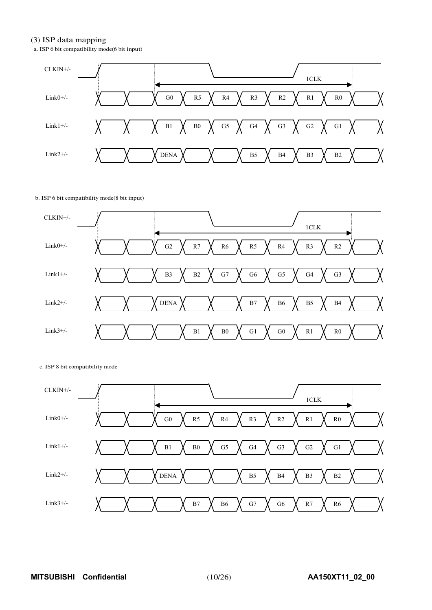#### (3) ISP data mapping

a. ISP 6 bit compatibility mode(6 bit input)



#### b. ISP 6 bit compatibility mode(8 bit input)



#### c. ISP 8 bit compatibility mode

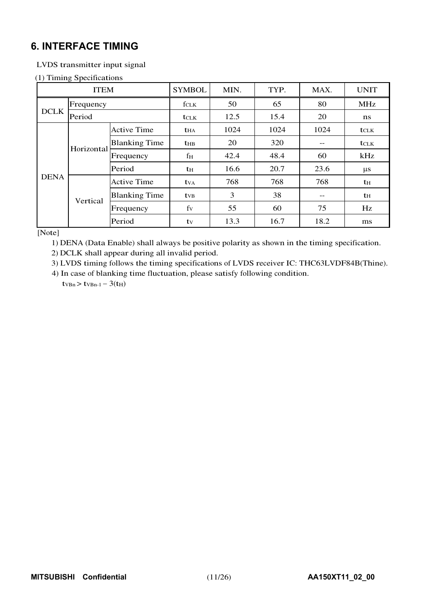# **6. INTERFACE TIMING**

## LVDS transmitter input signal

### (1) Timing Specifications

|             | <b>ITEM</b> |                      | <b>SYMBOL</b>           | MIN. | TYP. | MAX.              | <b>UNIT</b>  |
|-------------|-------------|----------------------|-------------------------|------|------|-------------------|--------------|
|             | Frequency   |                      | $f_{CLK}$               | 50   | 65   | 80                | <b>MHz</b>   |
| <b>DCLK</b> | Period      |                      | $t_{\text{CLK}}$        | 12.5 | 15.4 | 20                | $\mathbf{n}$ |
|             |             | <b>Active Time</b>   | <b>t</b> HA             | 1024 | 1024 | 1024              | <b>t</b> CLK |
|             |             | <b>Blanking Time</b> | <b>t</b> <sub>HB</sub>  | 20   | 320  | $\qquad \qquad -$ | <b>t</b> CLK |
|             | Horizontal  | Frequency            | fн                      | 42.4 | 48.4 | 60                | kHz          |
|             |             | Period               | tн                      | 16.6 | 20.7 | 23.6              | $\mu$ s      |
| <b>DENA</b> |             | <b>Active Time</b>   | <b>t</b> v <sub>A</sub> | 768  | 768  | 768               | th           |
|             | Vertical    | <b>Blanking Time</b> | <b>t</b> <sub>VB</sub>  | 3    | 38   | $\qquad \qquad -$ | th           |
|             |             | Frequency            | fy                      | 55   | 60   | 75                | Hz           |
|             |             | Period               | tv                      | 13.3 | 16.7 | 18.2              | ms           |

[Note]

1) DENA (Data Enable) shall always be positive polarity as shown in the timing specification.

2) DCLK shall appear during all invalid period.

3) LVDS timing follows the timing specifications of LVDS receiver IC: THC63LVDF84B(Thine).

4) In case of blanking time fluctuation, please satisfy following condition.  $t_{VBn}$  >  $t_{VBn-1}$  - 3( $t_{H}$ )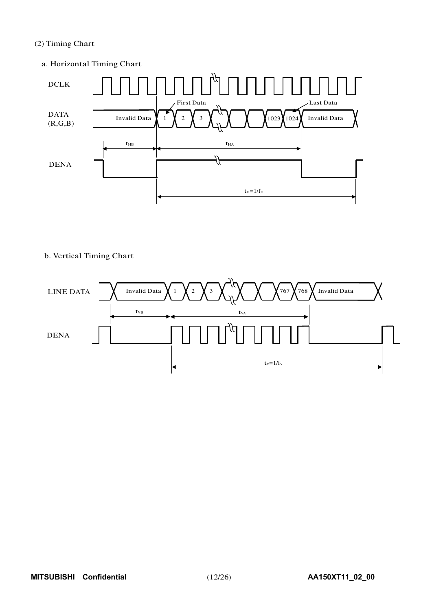## (2) Timing Chart

a. Horizontal Timing Chart



## b. Vertical Timing Chart

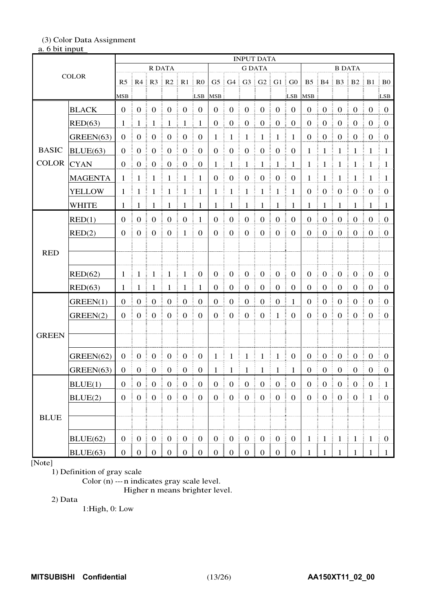# (3) Color Data Assignment

## a. 6 bit input

|              |                |                  | <b>INPUT DATA</b><br><b>G DATA</b><br>R DATA<br><b>B DATA</b> |                                   |                                                      |                  |                    |                  |                       |                   |                                   |                                 |                  |                  |                       |                                              |                        |                  |                        |
|--------------|----------------|------------------|---------------------------------------------------------------|-----------------------------------|------------------------------------------------------|------------------|--------------------|------------------|-----------------------|-------------------|-----------------------------------|---------------------------------|------------------|------------------|-----------------------|----------------------------------------------|------------------------|------------------|------------------------|
| <b>COLOR</b> |                |                  |                                                               |                                   |                                                      |                  |                    |                  |                       |                   |                                   |                                 |                  |                  |                       |                                              |                        |                  |                        |
|              |                |                  |                                                               |                                   | $R5$ $R4$ $R3$ $R2$ $R1$                             |                  | R <sub>0</sub>     |                  |                       |                   |                                   | G5   G4   G3   G2   G1   G0     |                  |                  |                       |                                              | B5   B4   B3   B2   B1 |                  | $\overline{B}$ BO      |
|              |                | MSB              |                                                               |                                   |                                                      |                  | LSB                | <b>MSB</b>       |                       |                   |                                   |                                 | LSB              | <b>MSB</b>       |                       |                                              |                        |                  | ELSB                   |
| <b>BLACK</b> |                | $\mathbf{0}$     | $\frac{1}{2}$ 0                                               | $\boldsymbol{0}$                  | $\mathbf{0}$                                         | $\mathbf{0}$     | $\mathbf{0}$       | $\boldsymbol{0}$ | $\boldsymbol{0}$      | $\boldsymbol{0}$  | $\boldsymbol{0}$                  | $\mathbf{0}$                    | $\boldsymbol{0}$ | $\boldsymbol{0}$ | $\boldsymbol{0}$<br>÷ | $\boldsymbol{0}$                             | $\boldsymbol{0}$       | $\boldsymbol{0}$ | $\overline{0}$         |
|              |                |                  |                                                               |                                   |                                                      |                  |                    |                  |                       |                   |                                   |                                 |                  |                  |                       |                                              |                        |                  |                        |
|              | RED(63)        | $\mathbf{1}$     | -1                                                            | $\mathbf{1}$                      | $\mathbf{1}$                                         | $\mathbf{1}$     | $\mathbf{1}$       | $\boldsymbol{0}$ | $\boldsymbol{0}$      | $\boldsymbol{0}$  | $\boldsymbol{0}$                  | $\boldsymbol{0}$                | $\boldsymbol{0}$ | $\boldsymbol{0}$ | $\boldsymbol{0}$      | $\mathbf{0}$                                 | $\boldsymbol{0}$       | $\boldsymbol{0}$ | $\boldsymbol{0}$       |
|              | GREEN(63)      | $\boldsymbol{0}$ | $\boldsymbol{0}$                                              | $\boldsymbol{0}$                  | $\boldsymbol{0}$                                     | $\boldsymbol{0}$ | $\boldsymbol{0}$   | $\mathbf{1}$     | $\mathbf{1}$          | $\mathbf{1}$      | $\mathbf{1}$                      | 1                               | $\mathbf{1}$     | $\boldsymbol{0}$ | $\boldsymbol{0}$      | $\boldsymbol{0}$                             | $\boldsymbol{0}$       | $\boldsymbol{0}$ | $\boldsymbol{0}$       |
| <b>BASIC</b> | BLUE(63)       | $\overline{0}$   | $\boldsymbol{0}$                                              | $\boldsymbol{0}$                  | $\boldsymbol{0}$                                     | $\boldsymbol{0}$ | $\boldsymbol{0}$   | $\boldsymbol{0}$ | $\boldsymbol{0}$      | $\boldsymbol{0}$  | $\boldsymbol{0}$                  | $\boldsymbol{0}$                | $\boldsymbol{0}$ | 1                | $\mathbf{1}$          | $\mathbf{1}$                                 | 1                      | $\mathbf{1}$     | $\mathbf{1}$           |
| <b>COLOR</b> | <b>CYAN</b>    | $\boldsymbol{0}$ | $\boldsymbol{0}$                                              | $\boldsymbol{0}$                  | $\boldsymbol{0}$                                     | $\mathbf{0}$     | $\boldsymbol{0}$   | $\mathbf{1}$     | $\mathbf{1}$          | $\mathbf{1}$      | $\mathbf{1}$                      | $\mathbf{1}$                    | $\mathbf{1}$     | $\mathbf{1}$     | $\mathbf{1}$          | $\mathbf{1}$                                 | $\mathbf{1}$           | -1               | -1                     |
|              | <b>MAGENTA</b> | $\mathbf{1}$     | $\mathbf{1}$                                                  | $\mathbf{1}$                      | $\mathbf{1}$                                         | $\mathbf{1}$     | $\mathbf{1}$       | $\boldsymbol{0}$ | $\boldsymbol{0}$      | $\boldsymbol{0}$  | $\boldsymbol{0}$                  | $\boldsymbol{0}$                | $\boldsymbol{0}$ | $\mathbf{1}$     | $\mathbf{1}$          | $\mathbf{1}$                                 | $\mathbf{1}$           | $\mathbf{1}$     | $\mathbf{1}$           |
|              | <b>YELLOW</b>  | 1                | $\mathbf{1}$                                                  | $\mathbf{1}$                      | $\mathbf{1}$                                         | 1                | $\mathbf{1}$       | $\mathbf{1}$     | $\mathbf{1}$          | $\mathbf{1}$      | $\mathbf{1}$                      | $\mathbf{1}$                    | $\mathbf{1}$     | $\boldsymbol{0}$ | $\boldsymbol{0}$      | $\boldsymbol{0}$                             | $\mathbf{0}$           | $\mathbf{0}$     | $\boldsymbol{0}$       |
|              | <b>WHITE</b>   | 1                | -1                                                            | $\mathbf{1}$                      | 1                                                    | ÷<br>-1          | $\mathbf{1}$<br>÷  | 1                | $\mathbf{1}$          | ÷<br>$\mathbf{1}$ | -1                                | ÷<br>$\mathbf{1}$               | -1               | 1                | $\mathbf{1}$          | ÷<br>-1                                      | $\mathbf{1}$           | -1               | $\pm$ 1                |
|              | RED(1)         | $\overline{0}$   | $\boldsymbol{0}$                                              | $\mathbf{0}$                      | $\boldsymbol{0}$<br>Ē.                               | $\boldsymbol{0}$ | $\mathbf{1}$       | $\boldsymbol{0}$ | $\boldsymbol{0}$      | $\boldsymbol{0}$  | $\mathbf{0}$                      | $\boldsymbol{0}$                | $\boldsymbol{0}$ | $\boldsymbol{0}$ | $\boldsymbol{0}$<br>ŧ | $\mathbf{0}$                                 | $\boldsymbol{0}$       | $\boldsymbol{0}$ | $\boldsymbol{0}$<br>÷. |
|              | RED(2)         | $\overline{0}$   | $\mathbf{0}$                                                  | $\boldsymbol{0}$                  | $\boldsymbol{0}$                                     | $\mathbf{1}$     | $\mathbf{0}$       | $\boldsymbol{0}$ | $\boldsymbol{0}$      | $\boldsymbol{0}$  | $\boldsymbol{0}$                  | $\boldsymbol{0}$                | $\mathbf{0}$     | $\boldsymbol{0}$ | $\boldsymbol{0}$<br>ŧ | $\boldsymbol{0}$                             | $\boldsymbol{0}$<br>Ē  | $\boldsymbol{0}$ | $\overline{0}$         |
|              |                |                  |                                                               |                                   |                                                      |                  |                    |                  |                       |                   |                                   |                                 |                  |                  |                       |                                              |                        |                  |                        |
| <b>RED</b>   |                |                  |                                                               |                                   |                                                      |                  |                    |                  |                       |                   |                                   |                                 |                  |                  |                       |                                              |                        |                  |                        |
|              | RED(62)        | -1               | $\frac{1}{2}$                                                 | $\frac{1}{2}$                     | $\mathbf{1}$                                         | $\mathbf{1}$     | $\boldsymbol{0}$   | $\boldsymbol{0}$ | $\boldsymbol{0}$      | $\boldsymbol{0}$  | $\boldsymbol{0}$                  | $\mathbf{0}$                    | $\boldsymbol{0}$ | $\mathbf{0}$     | $\boldsymbol{0}$      | $\boldsymbol{0}$                             | $\boldsymbol{0}$       | $\boldsymbol{0}$ | $\overline{0}$         |
|              | RED(63)        | 1                | -1                                                            | 1                                 | 1                                                    | 1                | $\mathbf{1}$<br>ŧ. | $\boldsymbol{0}$ | $\boldsymbol{0}$<br>ŧ | $\mathbf{0}$<br>ŧ | $\boldsymbol{0}$                  | $\mathbf{0}$<br>Ŧ.              | $\boldsymbol{0}$ | $\theta$         | $\boldsymbol{0}$      | $\boldsymbol{0}$                             | $\boldsymbol{0}$       | $\boldsymbol{0}$ | $\boldsymbol{0}$       |
|              | GREEN(1)       | $\mathbf{0}$     | $\mathbf{0}$                                                  | $\boldsymbol{0}$                  | $\boldsymbol{0}$                                     | $\mathbf{0}$     | $\boldsymbol{0}$   | $\boldsymbol{0}$ | $\boldsymbol{0}$      | $\mathbf{0}$      | $\mathbf 0$                       | $\mathbf{0}$                    | $\mathbf{1}$     | $\theta$         | $\boldsymbol{0}$      | $\mathbf{0}$                                 | $\boldsymbol{0}$       | $\boldsymbol{0}$ | $\theta$               |
|              | GREEN(2)       | $\Omega$         | $\mathbf{0}$                                                  | $\mathbf{0}$                      | $\boldsymbol{0}$                                     | $\mathbf{0}$     | $\boldsymbol{0}$   | $\mathbf{0}$     | $\boldsymbol{0}$      | $\boldsymbol{0}$  | $\mathbf{0}$                      | 1                               | $\mathbf{0}$     | $\mathbf{0}$     | $\boldsymbol{0}$      | $\mathbf{0}$                                 | $\mathbf{0}$           | $\overline{0}$   | $\boldsymbol{0}$       |
|              |                |                  |                                                               |                                   |                                                      |                  |                    |                  |                       |                   |                                   |                                 |                  |                  |                       |                                              |                        |                  |                        |
| <b>GREEN</b> |                |                  |                                                               |                                   |                                                      |                  |                    |                  |                       |                   |                                   |                                 |                  |                  |                       |                                              |                        |                  |                        |
|              | GREEN(62)      | $\boldsymbol{0}$ | $\boldsymbol{0}$                                              | $\boldsymbol{0}$                  | $\boldsymbol{0}$                                     | $\boldsymbol{0}$ | $\boldsymbol{0}$   | $\mathbf{1}$     | $\mathbf{1}$          | $\mathbf{1}$      | 1                                 | $\mathbf{1}$                    | $\boldsymbol{0}$ | $\boldsymbol{0}$ | $\boldsymbol{0}$<br>÷ | $\boldsymbol{0}$                             | $\mathbf{0}$           | $\boldsymbol{0}$ | $\overline{0}$         |
|              | GREEN(63)      | $\mathbf{0}$     | $\boldsymbol{0}$                                              | $\boldsymbol{0}$                  | $\boldsymbol{0}$                                     | $\boldsymbol{0}$ | $\mathbf{0}$       | 1                | 1                     | 1                 | -1                                | 1                               | 1                | $\boldsymbol{0}$ | $\boldsymbol{0}$      | $\boldsymbol{0}$                             | $\boldsymbol{0}$       | $\mathbf{0}$     | $\boldsymbol{0}$       |
|              |                |                  |                                                               |                                   |                                                      |                  |                    |                  |                       |                   |                                   |                                 |                  |                  |                       |                                              |                        |                  |                        |
|              | BLUE(1)        | $\boldsymbol{0}$ | $\begin{array}{c} 0 \\ 0 \end{array}$                         | $\boldsymbol{0}$                  | $\bf{0}$<br>Ĩ.                                       | $\boldsymbol{0}$ | $\boldsymbol{0}$   | $\boldsymbol{0}$ | $\boldsymbol{0}$      | $\boldsymbol{0}$  | $\boldsymbol{0}$                  | $\boldsymbol{0}$                | $\boldsymbol{0}$ | $\boldsymbol{0}$ | $\boldsymbol{0}$      | $\boldsymbol{0}$                             | $\boldsymbol{0}$       | $\boldsymbol{0}$ | $\mathbf{1}$           |
|              | BLUE(2)        |                  | $0 \nvert 0$                                                  | $\begin{bmatrix} 0 \end{bmatrix}$ | $\left  \begin{array}{c} 0 \\ 0 \end{array} \right $ | $\mathbf{0}$     | $\mathbf{0}$       | $\overline{0}$   | $\mathbf{0}$          | $\mathbf{0}$      | $\begin{bmatrix} 0 \end{bmatrix}$ | 0 <sup>3</sup>                  | $\mathbf{0}$     | $\overline{0}$   | $\mathbf{0}$<br>ŧ.    | $\begin{matrix} 1 & 0 \\ 0 & 0 \end{matrix}$ | $\mathbf{0}$           | $\mathbf{1}$     | $\boldsymbol{0}$       |
| <b>BLUE</b>  |                |                  |                                                               |                                   |                                                      |                  |                    |                  |                       |                   |                                   |                                 |                  |                  |                       |                                              |                        |                  |                        |
|              |                |                  |                                                               |                                   |                                                      |                  |                    |                  |                       |                   |                                   |                                 |                  |                  |                       |                                              |                        |                  |                        |
|              | BLUE(62)       |                  | $0 \quad 0 \quad 0$                                           |                                   | $\left  \begin{array}{c} 0 \\ 0 \end{array} \right $ |                  |                    |                  | $0 \mid 0 \mid 0$     |                   |                                   |                                 |                  | $\frac{1}{2}$    | $\frac{1}{2}$ 1       | $\vert 1 \vert 1$                            |                        | $1 \quad 0$      |                        |
|              | BLUE(63)       |                  |                                                               |                                   | $0 \mid 0 \mid 0 \mid 0 \mid 0$                      |                  |                    |                  |                       |                   |                                   | $0 \mid 0 \mid 0 \mid 0 \mid 0$ | $\overline{0}$   |                  | $\mathbf{1}$          | $\overline{1}$                               |                        | $\overline{1}$   | $\mathbf{1}$           |

[Note]

1) Definition of gray scale

Color (n) --- n indicates gray scale level.

Higher n means brighter level.

2) Data

1:High, 0: Low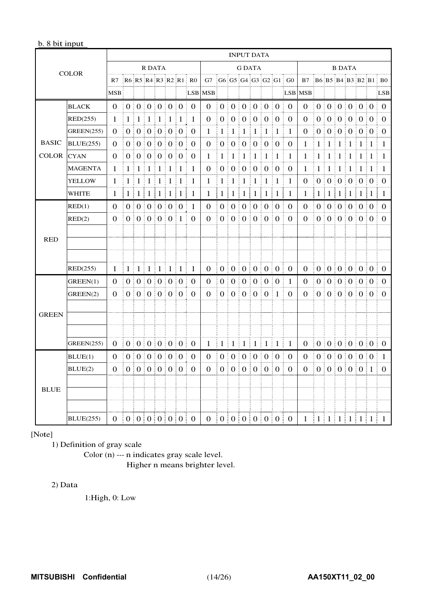## b. 8 bit input

|              |                   |            |              |               |                                 |                                           |       |         |                           |                           |                |                     | <b>INPUT DATA</b>                         |                                        |                                                  |                     |                                    |              |                                               |                 |                                                |         |                   |                |                                    |
|--------------|-------------------|------------|--------------|---------------|---------------------------------|-------------------------------------------|-------|---------|---------------------------|---------------------------|----------------|---------------------|-------------------------------------------|----------------------------------------|--------------------------------------------------|---------------------|------------------------------------|--------------|-----------------------------------------------|-----------------|------------------------------------------------|---------|-------------------|----------------|------------------------------------|
|              | <b>COLOR</b>      |            |              |               | <b>R DATA</b>                   |                                           |       |         |                           |                           |                |                     | <b>G DATA</b>                             |                                        |                                                  |                     |                                    |              |                                               |                 | <b>B DATA</b>                                  |         |                   |                |                                    |
|              |                   | R7         |              |               |                                 |                                           |       |         | $R6$ R5 R4 R3 R2 R1 R0    | G7                        |                |                     |                                           |                                        |                                                  |                     | $G6$ $G5$ $G4$ $G3$ $G2$ $G1$ $G0$ | <b>B7</b>    |                                               |                 |                                                |         |                   |                | $B6$ $B5$ $B4$ $B3$ $B2$ $B1$ $B0$ |
|              |                   | <b>MSB</b> |              |               |                                 |                                           |       |         |                           | LSB MSB                   |                |                     |                                           |                                        |                                                  |                     |                                    | LSB MSB      |                                               |                 |                                                |         |                   |                | <b>LSB</b>                         |
|              | <b>BLACK</b>      | $\Omega$   |              |               | 0:0:0:0:0:0                     |                                           |       |         | $\Omega$<br>ŧ.            | $\Omega$                  |                | 0:0:0               |                                           |                                        | 0.01010                                          |                     | $\Omega$                           | $\Omega$     |                                               |                 | 0:0:0:0:0:0                                    |         |                   |                | $\Omega$                           |
|              | RED(255)          | 1          | 1<br>÷       | 1             | $\pm 1$<br>÷                    | $1 \nmid 1$                               |       | 1<br>ŧ. | 1                         | 0                         | 0 <sub>1</sub> | $\overline{0}$<br>š | $\theta$                                  | 0 <sub>1</sub><br>÷                    | $\boldsymbol{0}$                                 | $\frac{1}{2}$ 0     | 0                                  | 0            | $\overline{0}$                                | $\theta$        | $\begin{bmatrix} 0 \\ 0 \end{bmatrix}$         |         | ÷                 | 0 <sub>1</sub> | $\Omega$                           |
|              | <b>GREEN(255)</b> | $\Omega$   |              |               | $0 \mid 0 \mid 0 \mid 0 \mid 0$ |                                           |       |         | ŧ.<br>$\theta$            | 1                         | 1:             | 1                   | 1                                         | $\mathbf{1}$                           | 1                                                | $\pm 1$             | 1                                  | 0            |                                               |                 | 0   0   0   0   0                              |         |                   |                | $\Omega$                           |
| <b>BASIC</b> | <b>BLUE(255)</b>  | $\theta$   |              |               | 0   0   0   0   0               |                                           |       |         | $\Omega$                  | 0                         | 0 <sup>1</sup> |                     | $\vdots$ $0$                              | $\begin{bmatrix} 0 \\ 0 \end{bmatrix}$ |                                                  | $\frac{1}{2}$ 0     | 0                                  | 1            | 1                                             | 1               | $\frac{1}{2}$                                  | $\pm 1$ | $\pm 1 \pm 1$     |                | 1                                  |
| <b>COLOR</b> | <b>CYAN</b>       | $\Omega$   |              |               | 0:0:0:                          |                                           | 0:0:0 |         | 0                         | 1                         | 1              | -1                  | 1                                         | 1                                      | -1                                               | $\pm 1$             | 1                                  | 1            | 1                                             | 1               | ŧ.<br>1                                        | $\pm 1$ | ÷                 | 1:1            | 1                                  |
|              | <b>MAGENTA</b>    | 1          | 1            | $\pm 1$       | $\pm 1$<br>÷                    | 1:                                        | -1    | $\pm 1$ | 1                         | 0                         | 0 <sup>1</sup> |                     | $\theta$<br>Ŧ.                            | 0 <sup>1</sup><br>÷                    | $\theta$                                         | $\pm 0$             | $\theta$                           | 1            | 1                                             | 1               | $\pm 1$                                        | $\pm 1$ | $1 \nvert 1$<br>÷ |                | 1                                  |
|              | YELLOW            | 1          | $\mathbf{1}$ | $\pm 1 \pm 1$ | ÷                               | $1 \nmid 1$                               |       | $\pm 1$ | 1                         | 1                         | 1              | 1                   | 1<br>ŧ                                    | $\mathbf{1}$<br>÷                      | -1                                               | $\pm 1$             | 1                                  | 0            | $\overline{0}$                                |                 | 0:0:0:                                         |         |                   | $0 \mid 0$     | $\theta$                           |
|              | WHITE             | 1          | $\mathbf{1}$ | ÷             | $1 \mid 1$                      | 1 1 1                                     |       |         | $\mathbf 1$<br>Ξ          | $\mathbf{1}$              | 1 <sup>1</sup> | $\mathbf{1}$        | 1 <sup>1</sup><br>÷.                      | 1 <sup>1</sup>                         | $\mathbf{1}$                                     | 1 <sup>1</sup><br>÷ | $\mathbf{1}$                       | 1            | 1                                             | ŧ.              | 1 1 1                                          |         | 1 1               |                | 1                                  |
|              | RED(1)            | $\Omega$   |              |               | 0   0   0   0   0   0           |                                           |       |         | 1                         | $\Omega$                  |                | 0:0                 |                                           |                                        | 000000                                           |                     | $\Omega$<br>Ē                      | 0            |                                               |                 | 0   0   0   0   0 0                            |         |                   |                | $\Omega$                           |
|              | RED(2)            | $\Omega$   |              |               | 0:0:0:0:0:1                     |                                           |       |         | $\Omega$                  | $\Omega$                  |                | 0:0                 | $\pm 0$                                   | 0.010                                  |                                                  | $\pm 0$             | $\Omega$                           | $\Omega$     |                                               |                 | 0   0   0   0   0   0                          |         |                   |                | $\Omega$                           |
|              |                   |            |              |               |                                 |                                           |       |         |                           |                           |                |                     |                                           |                                        |                                                  |                     |                                    |              |                                               |                 |                                                |         |                   |                |                                    |
| <b>RED</b>   |                   |            |              |               |                                 |                                           |       |         |                           |                           |                |                     |                                           |                                        |                                                  |                     |                                    |              |                                               |                 |                                                |         |                   |                |                                    |
|              |                   |            |              |               |                                 |                                           |       |         |                           |                           |                |                     |                                           |                                        |                                                  |                     |                                    |              |                                               |                 |                                                |         |                   |                |                                    |
|              | RED(255)          | 1          |              |               | 1 1 1 1 1 1 1                   |                                           |       |         | Ŧ<br>1                    | $\boldsymbol{0}$          |                |                     |                                           |                                        | $0 \nvert 0 \nvert 0 \nvert 0 \nvert 0 \nvert 0$ |                     | ÷<br>$\mathbf{0}$                  | $\Omega$     | ÷                                             |                 |                                                |         |                   | 0 0 0 0 0 0 0  | $\Omega$                           |
|              | GREEN(1)          | $\Omega$   |              |               | 0 0 0 0 0 0 0 0                 |                                           |       |         | $\theta$                  | 0                         | 0 <sup>1</sup> |                     | $\frac{1}{2}$ 0                           | $\mathbf{0}$                           | 0:0<br>÷                                         |                     | 1                                  | $\theta$     |                                               | 0 <sup>10</sup> | $\begin{bmatrix} 0 & 0 \\ 0 & 0 \end{bmatrix}$ |         |                   | 0 <sup>1</sup> | $\theta$                           |
|              | GREEN(2)          | $\theta$   |              |               | 0:0:0:0:0:0                     |                                           |       |         | $\Omega$                  | $\Omega$                  |                | 0 <sup>1</sup>      |                                           |                                        | $\begin{bmatrix} 0 & 0 & 0 & 1 \end{bmatrix}$    |                     | $\Omega$                           | $\Omega$     |                                               |                 | 0:0:0:0:0:0                                    |         |                   |                | $\Omega$                           |
|              |                   |            |              |               |                                 |                                           |       |         |                           |                           |                |                     |                                           |                                        |                                                  |                     |                                    |              |                                               |                 |                                                |         |                   |                |                                    |
| <b>GREEN</b> |                   |            |              |               |                                 |                                           |       |         |                           |                           |                |                     |                                           |                                        |                                                  |                     |                                    |              |                                               |                 |                                                |         |                   |                |                                    |
|              |                   |            |              |               |                                 |                                           |       |         |                           |                           |                |                     |                                           |                                        |                                                  |                     |                                    |              |                                               |                 |                                                |         |                   |                |                                    |
|              | <b>GREEN(255)</b> | $\theta$   |              |               | 0 0 0 0 0 0 0                   |                                           |       |         | $\theta$<br>÷             | $\mathbf{1}$              | $1 \nmid 1$    |                     |                                           |                                        | 111111                                           |                     | 1                                  | $\mathbf{0}$ |                                               |                 |                                                |         |                   | 0 0 0 0 0 0 0  | $\bf{0}$                           |
|              | BLUE(1)           | $\Omega$   |              | 0:0:0         |                                 | $\begin{bmatrix} 0 & 0 & 0 \end{bmatrix}$ |       |         | $\Omega$                  | $\Omega$                  | 0:0            |                     | $\frac{1}{2}$ 0                           | $\overline{0}$<br>÷                    | $\Omega$<br>÷                                    | $\ddot{0}$          | $\Omega$                           | $\Omega$     |                                               | 0 <sup>1</sup>  | 0.000000                                       |         |                   |                | 1                                  |
|              | BLUE(2)           | $\Omega$   |              |               | 0   0   0   0   0               |                                           |       |         | $\Omega$                  | $\Omega$                  | $0 \nvert 0$   |                     | $\begin{bmatrix} 0 & 0 & 0 \end{bmatrix}$ |                                        | $\mathbf{0}$                                     | $\frac{1}{2}$ 0     | $\Omega$                           | $\Omega$     |                                               |                 | 0   0   0   0   0 1                            |         |                   |                | $\Omega$                           |
|              |                   |            |              |               |                                 |                                           |       |         |                           |                           |                |                     |                                           |                                        |                                                  |                     |                                    |              |                                               |                 |                                                |         |                   |                |                                    |
| <b>BLUE</b>  |                   |            |              |               |                                 |                                           |       |         |                           |                           |                |                     |                                           |                                        |                                                  |                     |                                    |              |                                               |                 |                                                |         |                   |                |                                    |
|              |                   |            |              |               |                                 |                                           |       |         |                           |                           |                |                     |                                           |                                        |                                                  |                     |                                    |              |                                               |                 |                                                |         |                   |                |                                    |
|              | <b>BLUE(255)</b>  |            |              |               |                                 |                                           |       |         | 0   0   0   0   0   0   0 | 0   0   0   0   0   0   0 |                |                     |                                           |                                        |                                                  |                     |                                    |              | $1 \mid 1 \mid 1 \mid 1 \mid 1 \mid 1 \mid 1$ |                 |                                                |         |                   |                | -1                                 |

[Note]

1) Definition of gray scale

Color (n) --- n indicates gray scale level. Higher n means brighter level.

2) Data

1:High, 0: Low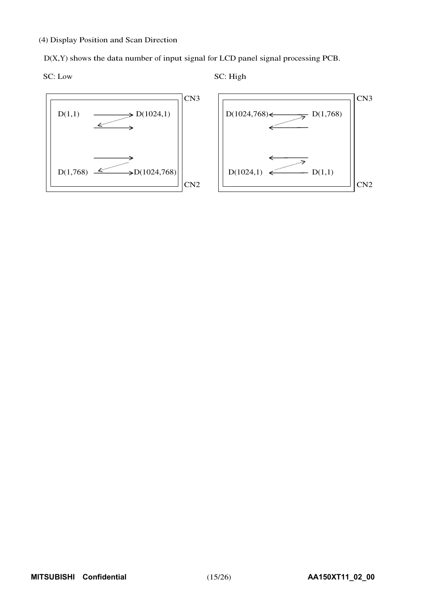(4) Display Position and Scan Direction

D(X,Y) shows the data number of input signal for LCD panel signal processing PCB.

$$
SC: Low \\
$$

SC: High

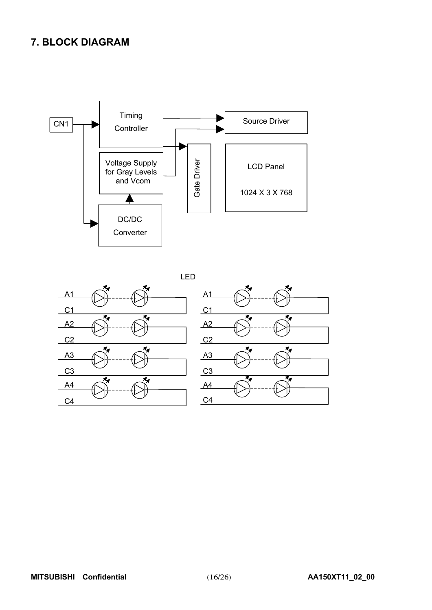# **7. BLOCK DIAGRAM**



LED



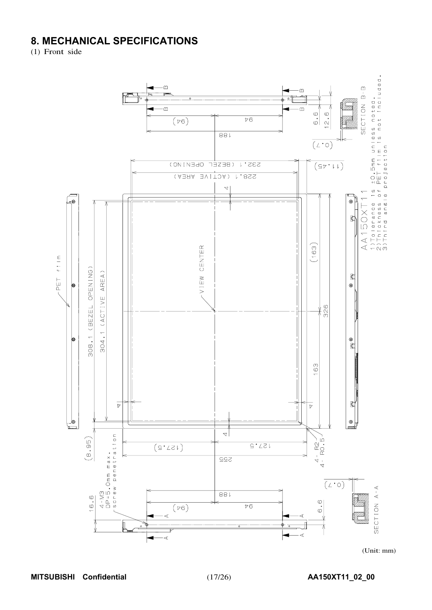# **8. MECHANICAL SPECIFICATIONS**

(1) Front side



(Unit: mm)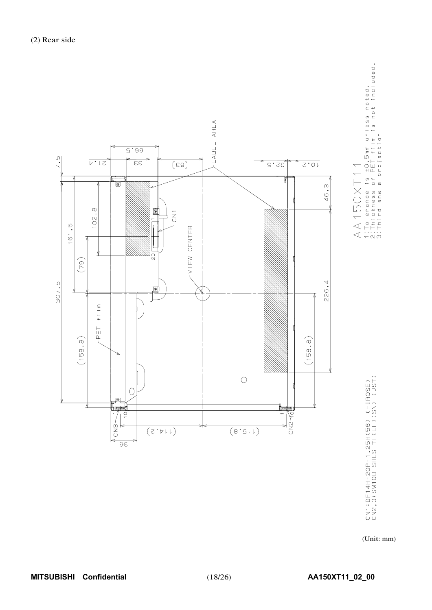

AA150XT11<br>1)Tolerance is ±0.5mm unless noted.<br>2)Thickness of PET film is not included.<br>3)Third ansle projection

CN1:DF14H-2OP-1.25H(56) (HIROSE)<br>CN2,3:SM10B-SHLS-TF(LF)(SN) (JST)

(Unit: mm)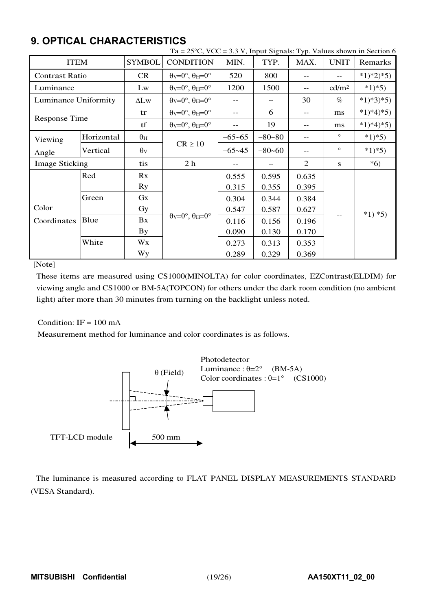|                       |            |                       | Ta = $25^{\circ}$ C, VCC = 3.3 V, Input Signals: Typ. Values shown in Section 6 |            |            |                |                   |             |  |
|-----------------------|------------|-----------------------|---------------------------------------------------------------------------------|------------|------------|----------------|-------------------|-------------|--|
| <b>ITEM</b>           |            | <b>SYMBOL</b>         | <b>CONDITION</b>                                                                | MIN.       | TYP.       | MAX.           | <b>UNIT</b>       | Remarks     |  |
| <b>Contrast Ratio</b> |            | <b>CR</b>             | $\theta$ v=0°, $\theta$ H=0°                                                    | 520        | 800        | $-$            | $-$               | $*1)*2)*5)$ |  |
| Luminance             |            | Lw                    | $\theta$ <sub>V</sub> = $0^\circ$ , $\theta$ <sub>H</sub> = $0^\circ$           | 1200       | 1500       | $-$            | cd/m <sup>2</sup> | $*1)*5)$    |  |
| Luminance Uniformity  |            | $\Delta L$ w          | $\theta$ v=0°, $\theta$ H=0°                                                    |            | $-$        | 30             | $\%$              | $*1)*3*5)$  |  |
|                       |            | tr                    | $\theta$ <sub>V</sub> = $0^\circ$ , $\theta$ <sub>H</sub> = $0^\circ$           |            | 6          | $-$            | ms                | $*1)*4*5)$  |  |
| <b>Response Time</b>  |            | tf                    | $\theta$ v=0°, $\theta$ H=0°                                                    |            | 19         | --             | ms                | $*1)*4*5)$  |  |
| Viewing               | Horizontal | $\theta_{\rm H}$      |                                                                                 | $-65 - 65$ | $-80 - 80$ | --             | $\circ$           | $*1)*5)$    |  |
| Angle                 | Vertical   | $\theta$ <sub>V</sub> | $CR \ge 10$                                                                     | $-65 - 45$ | $-80 - 60$ | $-$            | $\circ$           | $*1)*5)$    |  |
| <b>Image Sticking</b> |            | tis                   | 2 <sub>h</sub>                                                                  |            | $-$        | $\overline{2}$ | S                 | $*6)$       |  |
|                       | Red        | Rx                    |                                                                                 | 0.555      | 0.595      | 0.635          |                   |             |  |
|                       |            | <b>Ry</b>             |                                                                                 | 0.315      | 0.355      | 0.395          |                   |             |  |
|                       | Green      | $G_{X}$               |                                                                                 | 0.304      | 0.344      | 0.384          |                   |             |  |
| Color                 |            | Gy                    |                                                                                 | 0.547      | 0.587      | 0.627          |                   | $*1) *5)$   |  |
| Coordinates           | Blue       | Bx                    | $\theta$ <sub>V</sub> = $0^\circ$ , $\theta$ <sub>H</sub> = $0^\circ$           | 0.116      | 0.156      | 0.196          |                   |             |  |
|                       |            | <b>By</b>             |                                                                                 | 0.090      | 0.130      | 0.170          |                   |             |  |
|                       | White      | Wx                    |                                                                                 | 0.273      | 0.313      | 0.353          |                   |             |  |
|                       |            | Wy                    |                                                                                 | 0.289      | 0.329      | 0.369          |                   |             |  |

# **9. OPTICAL CHARACTERISTICS**

[Note]

These items are measured using CS1000(MINOLTA) for color coordinates, EZContrast(ELDIM) for viewing angle and CS1000 or BM-5A(TOPCON) for others under the dark room condition (no ambient light) after more than 30 minutes from turning on the backlight unless noted.

## Condition:  $IF = 100 \text{ mA}$

Measurement method for luminance and color coordinates is as follows.



The luminance is measured according to FLAT PANEL DISPLAY MEASUREMENTS STANDARD (VESA Standard).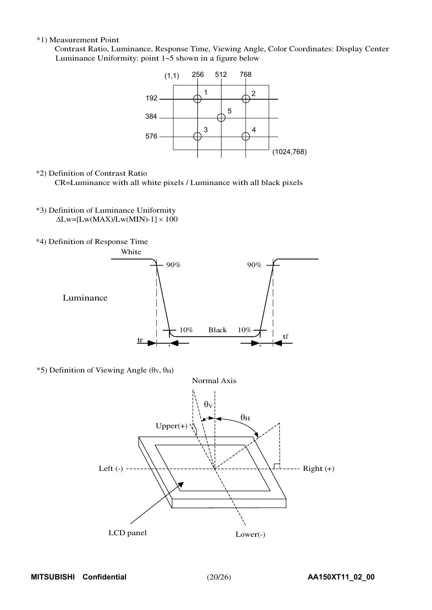#### \*1) Measurement Point

Contrast Ratio, Luminance, Response Time, Viewing Angle, Color Coordinates: Display Center Luminance Uniformity: point  $1-5$  shown in a figure below



#### \*2) Definition of Contrast Ratio

CR=Luminance with all white pixels / Luminance with all black pixels

- \*3) Definition of Luminance Uniformity  $\Delta$ Lw=[Lw(MAX)/Lw(MIN)-1]  $\times$  100
- \*4) Definition of Response Time



 $*$ 5) Definition of Viewing Angle ( $\theta$ v,  $\theta$ H)

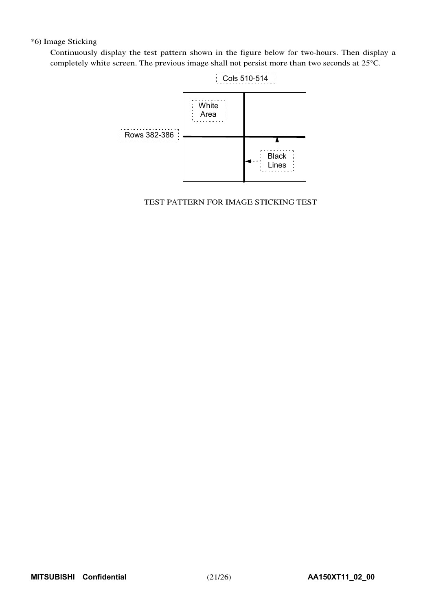### \*6) Image Sticking

Continuously display the test pattern shown in the figure below for two-hours. Then display a completely white screen. The previous image shall not persist more than two seconds at 25°C.



### TEST PATTERN FOR IMAGE STICKING TEST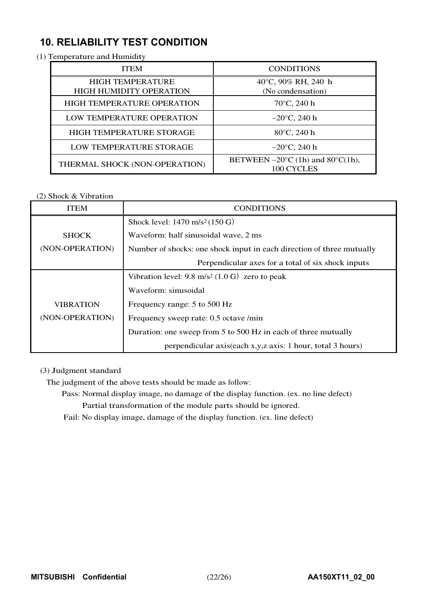# **10. RELIABILITY TEST CONDITION**

(1) Temperature and Humidity

| <b>ITEM</b>                                               | <b>CONDITIONS</b>                                                   |
|-----------------------------------------------------------|---------------------------------------------------------------------|
| <b>HIGH TEMPERATURE</b><br><b>HIGH HUMIDITY OPERATION</b> | 40°C, 90% RH, 240 h<br>(No condensation)                            |
| <b>HIGH TEMPERATURE OPERATION</b>                         | $70^{\circ}$ C, 240 h                                               |
| LOW TEMPERATURE OPERATION                                 | $-20^{\circ}$ C, 240 h                                              |
| HIGH TEMPERATURE STORAGE                                  | $80^{\circ}$ C, 240 h                                               |
| LOW TEMPERATURE STORAGE                                   | $-20^{\circ}$ C, 240 h                                              |
| THERMAL SHOCK (NON-OPERATION)                             | BETWEEN $-20^{\circ}$ C (1h) and 80 $^{\circ}$ C(1h),<br>100 CYCLES |

## (2) Shock & Vibration

| ITEM             | <b>CONDITIONS</b>                                                     |
|------------------|-----------------------------------------------------------------------|
|                  | Shock level: $1470 \text{ m/s}^2 (150 \text{ G})$                     |
| <b>SHOCK</b>     | Waveform: half sinusoidal wave, 2 ms                                  |
| (NON-OPERATION)  | Number of shocks: one shock input in each direction of three mutually |
|                  | Perpendicular axes for a total of six shock inputs                    |
|                  | Vibration level: $9.8 \text{ m/s}^2 (1.0 \text{ G})$ zero to peak     |
|                  | Waveform: sinusoidal                                                  |
| <b>VIBRATION</b> | Frequency range: 5 to 500 Hz                                          |
| (NON-OPERATION)  | Frequency sweep rate: 0.5 octave /min                                 |
|                  | Duration: one sweep from 5 to 500 Hz in each of three mutually        |
|                  | perpendicular axis(each x,y,z axis: 1 hour, total 3 hours)            |

## (3) Judgment standard

The judgment of the above tests should be made as follow:

Pass: Normal display image, no damage of the display function. (ex. no line defect)

Partial transformation of the module parts should be ignored.

Fail: No display image, damage of the display function. (ex. line defect)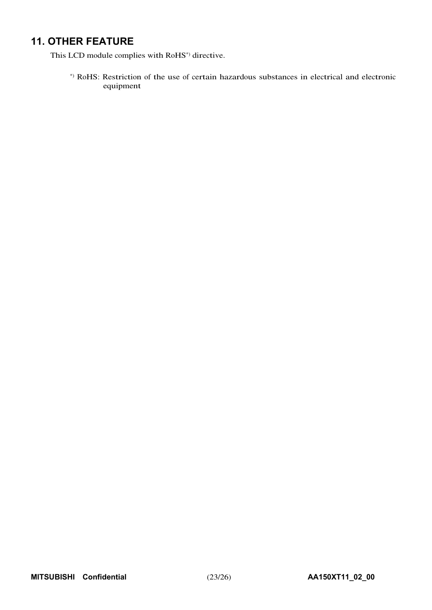# **11. OTHER FEATURE**

This LCD module complies with RoHS\*) directive.

\*) RoHS: Restriction of the use of certain hazardous substances in electrical and electronic equipment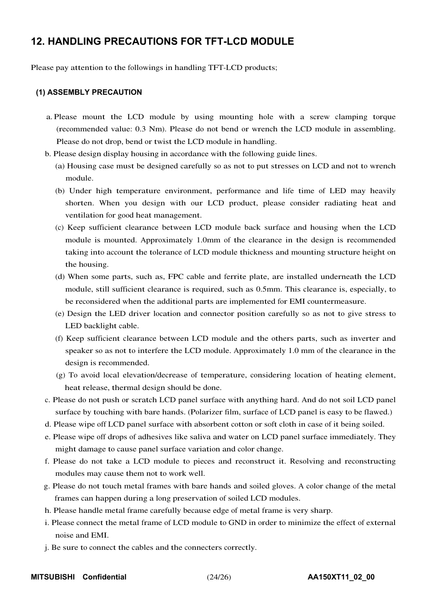# **12. HANDLING PRECAUTIONS FOR TFT-LCD MODULE**

Please pay attention to the followings in handling TFT-LCD products;

### **(1) ASSEMBLY PRECAUTION**

- a. Please mount the LCD module by using mounting hole with a screw clamping torque (recommended value: 0.3 Nm). Please do not bend or wrench the LCD module in assembling. Please do not drop, bend or twist the LCD module in handling.
- b. Please design display housing in accordance with the following guide lines.
	- (a) Housing case must be designed carefully so as not to put stresses on LCD and not to wrench module.
	- (b) Under high temperature environment, performance and life time of LED may heavily shorten. When you design with our LCD product, please consider radiating heat and ventilation for good heat management.
	- (c) Keep sufficient clearance between LCD module back surface and housing when the LCD module is mounted. Approximately 1.0mm of the clearance in the design is recommended taking into account the tolerance of LCD module thickness and mounting structure height on the housing.
	- (d) When some parts, such as, FPC cable and ferrite plate, are installed underneath the LCD module, still sufficient clearance is required, such as 0.5mm. This clearance is, especially, to be reconsidered when the additional parts are implemented for EMI countermeasure.
	- (e) Design the LED driver location and connector position carefully so as not to give stress to LED backlight cable.
	- (f) Keep sufficient clearance between LCD module and the others parts, such as inverter and speaker so as not to interfere the LCD module. Approximately 1.0 mm of the clearance in the design is recommended.
	- (g) To avoid local elevation/decrease of temperature, considering location of heating element, heat release, thermal design should be done.
- c. Please do not push or scratch LCD panel surface with anything hard. And do not soil LCD panel surface by touching with bare hands. (Polarizer film, surface of LCD panel is easy to be flawed.)
- d. Please wipe off LCD panel surface with absorbent cotton or soft cloth in case of it being soiled.
- e. Please wipe off drops of adhesives like saliva and water on LCD panel surface immediately. They might damage to cause panel surface variation and color change.
- f. Please do not take a LCD module to pieces and reconstruct it. Resolving and reconstructing modules may cause them not to work well.
- g. Please do not touch metal frames with bare hands and soiled gloves. A color change of the metal frames can happen during a long preservation of soiled LCD modules.
- h. Please handle metal frame carefully because edge of metal frame is very sharp.
- i. Please connect the metal frame of LCD module to GND in order to minimize the effect of external noise and EMI.
- j. Be sure to connect the cables and the connecters correctly.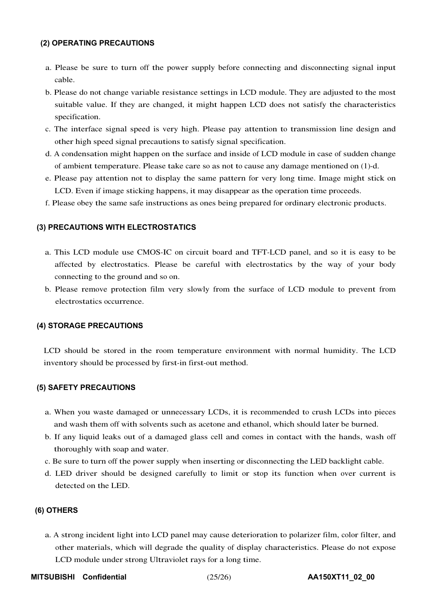#### **(2) OPERATING PRECAUTIONS**

- a. Please be sure to turn off the power supply before connecting and disconnecting signal input cable.
- b. Please do not change variable resistance settings in LCD module. They are adjusted to the most suitable value. If they are changed, it might happen LCD does not satisfy the characteristics specification.
- c. The interface signal speed is very high. Please pay attention to transmission line design and other high speed signal precautions to satisfy signal specification.
- d. A condensation might happen on the surface and inside of LCD module in case of sudden change of ambient temperature. Please take care so as not to cause any damage mentioned on (1)-d.
- e. Please pay attention not to display the same pattern for very long time. Image might stick on LCD. Even if image sticking happens, it may disappear as the operation time proceeds.
- f. Please obey the same safe instructions as ones being prepared for ordinary electronic products.

## **(3) PRECAUTIONS WITH ELECTROSTATICS**

- a. This LCD module use CMOS-IC on circuit board and TFT-LCD panel, and so it is easy to be affected by electrostatics. Please be careful with electrostatics by the way of your body connecting to the ground and so on.
- b. Please remove protection film very slowly from the surface of LCD module to prevent from electrostatics occurrence.

#### **(4) STORAGE PRECAUTIONS**

LCD should be stored in the room temperature environment with normal humidity. The LCD inventory should be processed by first-in first-out method.

#### **(5) SAFETY PRECAUTIONS**

- a. When you waste damaged or unnecessary LCDs, it is recommended to crush LCDs into pieces and wash them off with solvents such as acetone and ethanol, which should later be burned.
- b. If any liquid leaks out of a damaged glass cell and comes in contact with the hands, wash off thoroughly with soap and water.
- c. Be sure to turn off the power supply when inserting or disconnecting the LED backlight cable.
- d. LED driver should be designed carefully to limit or stop its function when over current is detected on the LED.

## **(6) OTHERS**

- a. A strong incident light into LCD panel may cause deterioration to polarizer film, color filter, and other materials, which will degrade the quality of display characteristics. Please do not expose LCD module under strong Ultraviolet rays for a long time.
- **MITSUBISHI Confidential** (25/26) **AA150XT11\_02\_00**